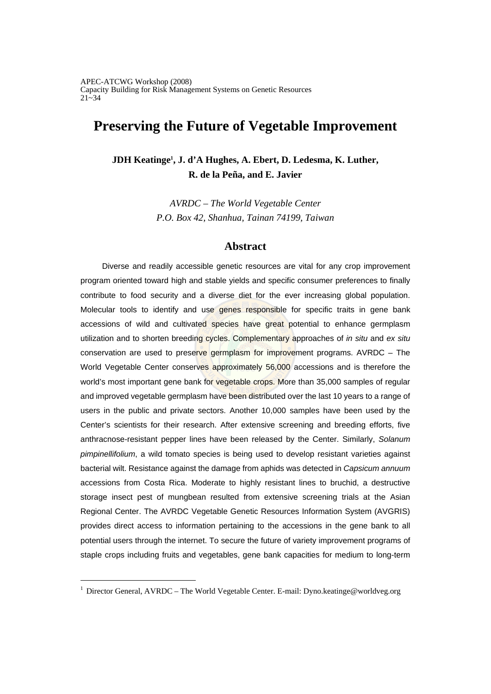# **Preserving the Future of Vegetable Improvement**

**JDH Keatinge1 , J. d'A Hughes, A. Ebert, D. Ledesma, K. Luther, R. de la Peña, and E. Javier** 

> *AVRDC – The World Vegetable Center P.O. Box 42, Shanhua, Tainan 74199, Taiwan*

# **Abstract**

Diverse and readily accessible genetic resources are vital for any crop improvement program oriented toward high and stable yields and specific consumer preferences to finally contribute to food security and a diverse diet for the ever increasing global population. Molecular tools to identify and use genes responsible for specific traits in gene bank accessions of wild and cultivated species have great potential to enhance germplasm utilization and to shorten breeding cycles. Complementary approaches of *in situ* and *ex situ* conservation are used to preserve germplasm for improvement programs. AVRDC – The World Vegetable Center conserves approximately 56,000 accessions and is therefore the world's most important gene bank for vegetable crops. More than 35,000 samples of regular and improved vegetable germplasm have been distributed over the last 10 years to a range of users in the public and private sectors. Another 10,000 samples have been used by the Center's scientists for their research. After extensive screening and breeding efforts, five anthracnose-resistant pepper lines have been released by the Center. Similarly, *Solanum pimpinellifolium*, a wild tomato species is being used to develop resistant varieties against bacterial wilt. Resistance against the damage from aphids was detected in *Capsicum annuum* accessions from Costa Rica. Moderate to highly resistant lines to bruchid, a destructive storage insect pest of mungbean resulted from extensive screening trials at the Asian Regional Center. The AVRDC Vegetable Genetic Resources Information System (AVGRIS) provides direct access to information pertaining to the accessions in the gene bank to all potential users through the internet. To secure the future of variety improvement programs of staple crops including fruits and vegetables, gene bank capacities for medium to long-term

<sup>1</sup> Director General, AVRDC – The World Vegetable Center. E-mail: Dyno.keatinge@worldveg.org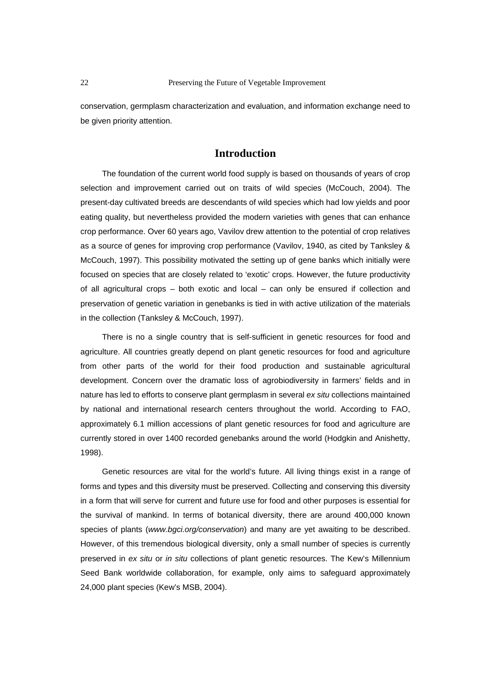conservation, germplasm characterization and evaluation, and information exchange need to be given priority attention.

# **Introduction**

The foundation of the current world food supply is based on thousands of years of crop selection and improvement carried out on traits of wild species (McCouch, 2004). The present-day cultivated breeds are descendants of wild species which had low yields and poor eating quality, but nevertheless provided the modern varieties with genes that can enhance crop performance. Over 60 years ago, Vavilov drew attention to the potential of crop relatives as a source of genes for improving crop performance (Vavilov, 1940, as cited by Tanksley & McCouch, 1997). This possibility motivated the setting up of gene banks which initially were focused on species that are closely related to 'exotic' crops. However, the future productivity of all agricultural crops – both exotic and local – can only be ensured if collection and preservation of genetic variation in genebanks is tied in with active utilization of the materials in the collection (Tanksley & McCouch, 1997).

There is no a single country that is self-sufficient in genetic resources for food and agriculture. All countries greatly depend on plant genetic resources for food and agriculture from other parts of the world for their food production and sustainable agricultural development. Concern over the dramatic loss of agrobiodiversity in farmers' fields and in nature has led to efforts to conserve plant germplasm in several *ex situ* collections maintained by national and international research centers throughout the world. According to FAO, approximately 6.1 million accessions of plant genetic resources for food and agriculture are currently stored in over 1400 recorded genebanks around the world (Hodgkin and Anishetty, 1998).

Genetic resources are vital for the world's future. All living things exist in a range of forms and types and this diversity must be preserved. Collecting and conserving this diversity in a form that will serve for current and future use for food and other purposes is essential for the survival of mankind. In terms of botanical diversity, there are around 400,000 known species of plants (*www.bgci.org/conservation*) and many are yet awaiting to be described. However, of this tremendous biological diversity, only a small number of species is currently preserved in *ex situ* or *in situ* collections of plant genetic resources. The Kew's Millennium Seed Bank worldwide collaboration, for example, only aims to safeguard approximately 24,000 plant species (Kew's MSB, 2004).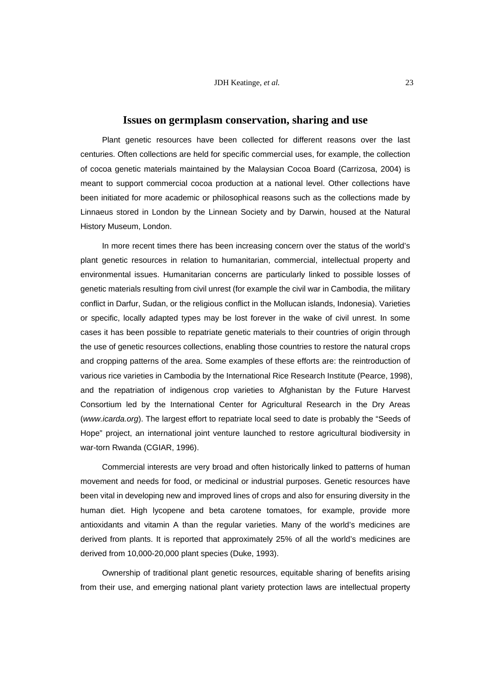#### **Issues on germplasm conservation, sharing and use**

Plant genetic resources have been collected for different reasons over the last centuries. Often collections are held for specific commercial uses, for example, the collection of cocoa genetic materials maintained by the Malaysian Cocoa Board (Carrizosa, 2004) is meant to support commercial cocoa production at a national level. Other collections have been initiated for more academic or philosophical reasons such as the collections made by Linnaeus stored in London by the Linnean Society and by Darwin, housed at the Natural History Museum, London.

In more recent times there has been increasing concern over the status of the world's plant genetic resources in relation to humanitarian, commercial, intellectual property and environmental issues. Humanitarian concerns are particularly linked to possible losses of genetic materials resulting from civil unrest (for example the civil war in Cambodia, the military conflict in Darfur, Sudan, or the religious conflict in the Mollucan islands, Indonesia). Varieties or specific, locally adapted types may be lost forever in the wake of civil unrest. In some cases it has been possible to repatriate genetic materials to their countries of origin through the use of genetic resources collections, enabling those countries to restore the natural crops and cropping patterns of the area. Some examples of these efforts are: the reintroduction of various rice varieties in Cambodia by the International Rice Research Institute (Pearce, 1998), and the repatriation of indigenous crop varieties to Afghanistan by the Future Harvest Consortium led by the International Center for Agricultural Research in the Dry Areas (*www.icarda.org*). The largest effort to repatriate local seed to date is probably the "Seeds of Hope" project, an international joint venture launched to restore agricultural biodiversity in war-torn Rwanda (CGIAR, 1996).

Commercial interests are very broad and often historically linked to patterns of human movement and needs for food, or medicinal or industrial purposes. Genetic resources have been vital in developing new and improved lines of crops and also for ensuring diversity in the human diet. High lycopene and beta carotene tomatoes, for example, provide more antioxidants and vitamin A than the regular varieties. Many of the world's medicines are derived from plants. It is reported that approximately 25% of all the world's medicines are derived from 10,000-20,000 plant species (Duke, 1993).

Ownership of traditional plant genetic resources, equitable sharing of benefits arising from their use, and emerging national plant variety protection laws are intellectual property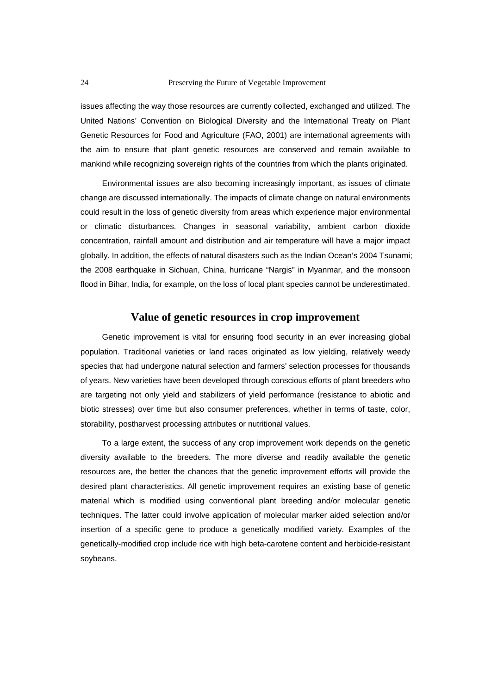issues affecting the way those resources are currently collected, exchanged and utilized. The United Nations' Convention on Biological Diversity and the International Treaty on Plant Genetic Resources for Food and Agriculture (FAO, 2001) are international agreements with the aim to ensure that plant genetic resources are conserved and remain available to mankind while recognizing sovereign rights of the countries from which the plants originated.

Environmental issues are also becoming increasingly important, as issues of climate change are discussed internationally. The impacts of climate change on natural environments could result in the loss of genetic diversity from areas which experience major environmental or climatic disturbances. Changes in seasonal variability, ambient carbon dioxide concentration, rainfall amount and distribution and air temperature will have a major impact globally. In addition, the effects of natural disasters such as the Indian Ocean's 2004 Tsunami; the 2008 earthquake in Sichuan, China, hurricane "Nargis" in Myanmar, and the monsoon flood in Bihar, India, for example, on the loss of local plant species cannot be underestimated.

# **Value of genetic resources in crop improvement**

Genetic improvement is vital for ensuring food security in an ever increasing global population. Traditional varieties or land races originated as low yielding, relatively weedy species that had undergone natural selection and farmers' selection processes for thousands of years. New varieties have been developed through conscious efforts of plant breeders who are targeting not only yield and stabilizers of yield performance (resistance to abiotic and biotic stresses) over time but also consumer preferences, whether in terms of taste, color, storability, postharvest processing attributes or nutritional values.

To a large extent, the success of any crop improvement work depends on the genetic diversity available to the breeders. The more diverse and readily available the genetic resources are, the better the chances that the genetic improvement efforts will provide the desired plant characteristics. All genetic improvement requires an existing base of genetic material which is modified using conventional plant breeding and/or molecular genetic techniques. The latter could involve application of molecular marker aided selection and/or insertion of a specific gene to produce a genetically modified variety. Examples of the genetically-modified crop include rice with high beta-carotene content and herbicide-resistant soybeans.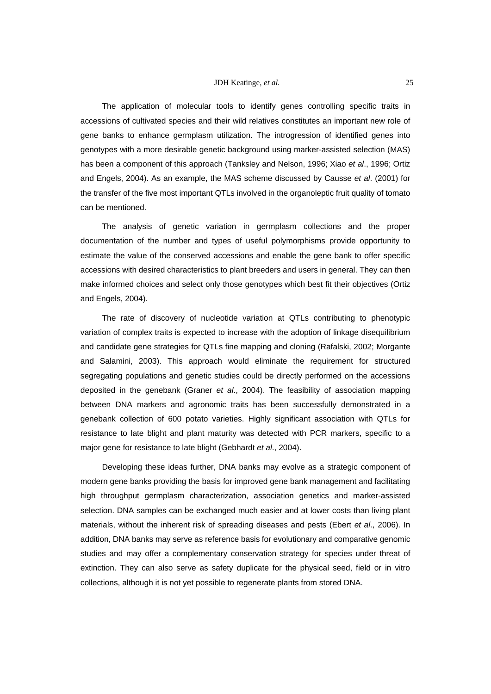The application of molecular tools to identify genes controlling specific traits in accessions of cultivated species and their wild relatives constitutes an important new role of gene banks to enhance germplasm utilization. The introgression of identified genes into genotypes with a more desirable genetic background using marker-assisted selection (MAS) has been a component of this approach (Tanksley and Nelson, 1996; Xiao *et al*., 1996; Ortiz and Engels, 2004). As an example, the MAS scheme discussed by Causse *et al*. (2001) for the transfer of the five most important QTLs involved in the organoleptic fruit quality of tomato can be mentioned.

The analysis of genetic variation in germplasm collections and the proper documentation of the number and types of useful polymorphisms provide opportunity to estimate the value of the conserved accessions and enable the gene bank to offer specific accessions with desired characteristics to plant breeders and users in general. They can then make informed choices and select only those genotypes which best fit their objectives (Ortiz and Engels, 2004).

The rate of discovery of nucleotide variation at QTLs contributing to phenotypic variation of complex traits is expected to increase with the adoption of linkage disequilibrium and candidate gene strategies for QTLs fine mapping and cloning (Rafalski, 2002; Morgante and Salamini, 2003). This approach would eliminate the requirement for structured segregating populations and genetic studies could be directly performed on the accessions deposited in the genebank (Graner *et al*., 2004). The feasibility of association mapping between DNA markers and agronomic traits has been successfully demonstrated in a genebank collection of 600 potato varieties. Highly significant association with QTLs for resistance to late blight and plant maturity was detected with PCR markers, specific to a major gene for resistance to late blight (Gebhardt *et al*., 2004).

Developing these ideas further, DNA banks may evolve as a strategic component of modern gene banks providing the basis for improved gene bank management and facilitating high throughput germplasm characterization, association genetics and marker-assisted selection. DNA samples can be exchanged much easier and at lower costs than living plant materials, without the inherent risk of spreading diseases and pests (Ebert *et al*., 2006). In addition, DNA banks may serve as reference basis for evolutionary and comparative genomic studies and may offer a complementary conservation strategy for species under threat of extinction. They can also serve as safety duplicate for the physical seed, field or in vitro collections, although it is not yet possible to regenerate plants from stored DNA.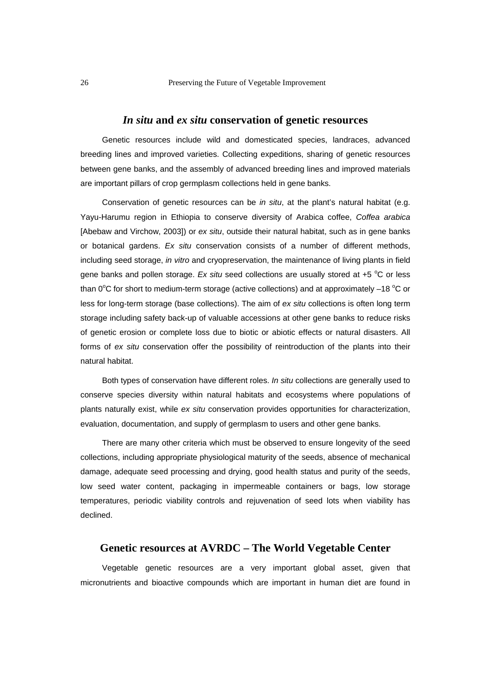### *In situ* **and** *ex situ* **conservation of genetic resources**

Genetic resources include wild and domesticated species, landraces, advanced breeding lines and improved varieties. Collecting expeditions, sharing of genetic resources between gene banks, and the assembly of advanced breeding lines and improved materials are important pillars of crop germplasm collections held in gene banks.

Conservation of genetic resources can be *in situ*, at the plant's natural habitat (e.g. Yayu-Harumu region in Ethiopia to conserve diversity of Arabica coffee, *Coffea arabica* [Abebaw and Virchow, 2003]) or *ex situ*, outside their natural habitat, such as in gene banks or botanical gardens. *Ex situ* conservation consists of a number of different methods, including seed storage, *in vitro* and cryopreservation, the maintenance of living plants in field gene banks and pollen storage. Ex situ seed collections are usually stored at +5 °C or less than 0°C for short to medium-term storage (active collections) and at approximately -18 °C or less for long-term storage (base collections). The aim of *ex situ* collections is often long term storage including safety back-up of valuable accessions at other gene banks to reduce risks of genetic erosion or complete loss due to biotic or abiotic effects or natural disasters. All forms of *ex situ* conservation offer the possibility of reintroduction of the plants into their natural habitat.

Both types of conservation have different roles. *In situ* collections are generally used to conserve species diversity within natural habitats and ecosystems where populations of plants naturally exist, while *ex situ* conservation provides opportunities for characterization, evaluation, documentation, and supply of germplasm to users and other gene banks.

There are many other criteria which must be observed to ensure longevity of the seed collections, including appropriate physiological maturity of the seeds, absence of mechanical damage, adequate seed processing and drying, good health status and purity of the seeds, low seed water content, packaging in impermeable containers or bags, low storage temperatures, periodic viability controls and rejuvenation of seed lots when viability has declined.

# **Genetic resources at AVRDC – The World Vegetable Center**

Vegetable genetic resources are a very important global asset, given that micronutrients and bioactive compounds which are important in human diet are found in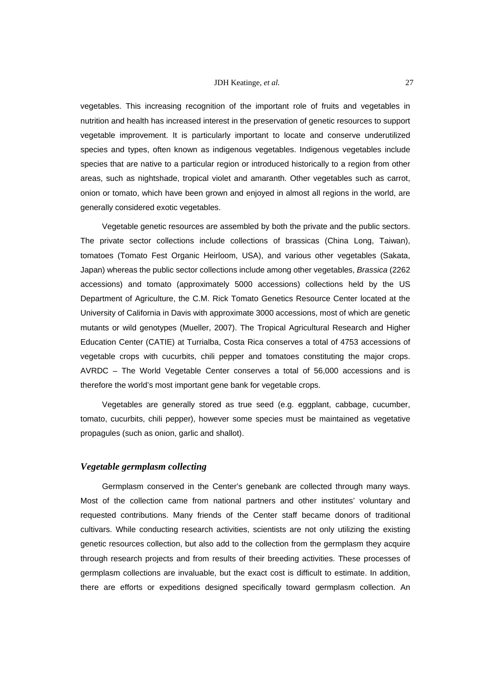vegetables. This increasing recognition of the important role of fruits and vegetables in nutrition and health has increased interest in the preservation of genetic resources to support vegetable improvement. It is particularly important to locate and conserve underutilized species and types, often known as indigenous vegetables. Indigenous vegetables include species that are native to a particular region or introduced historically to a region from other areas, such as nightshade, tropical violet and amaranth. Other vegetables such as carrot, onion or tomato, which have been grown and enjoyed in almost all regions in the world, are generally considered exotic vegetables.

Vegetable genetic resources are assembled by both the private and the public sectors. The private sector collections include collections of brassicas (China Long, Taiwan), tomatoes (Tomato Fest Organic Heirloom, USA), and various other vegetables (Sakata, Japan) whereas the public sector collections include among other vegetables, *Brassica* (2262 accessions) and tomato (approximately 5000 accessions) collections held by the US Department of Agriculture, the C.M. Rick Tomato Genetics Resource Center located at the University of California in Davis with approximate 3000 accessions, most of which are genetic mutants or wild genotypes (Mueller, 2007). The Tropical Agricultural Research and Higher Education Center (CATIE) at Turrialba, Costa Rica conserves a total of 4753 accessions of vegetable crops with cucurbits, chili pepper and tomatoes constituting the major crops. AVRDC – The World Vegetable Center conserves a total of 56,000 accessions and is therefore the world's most important gene bank for vegetable crops.

Vegetables are generally stored as true seed (e.g. eggplant, cabbage, cucumber, tomato, cucurbits, chili pepper), however some species must be maintained as vegetative propagules (such as onion, garlic and shallot).

# *Vegetable germplasm collecting*

Germplasm conserved in the Center's genebank are collected through many ways. Most of the collection came from national partners and other institutes' voluntary and requested contributions. Many friends of the Center staff became donors of traditional cultivars. While conducting research activities, scientists are not only utilizing the existing genetic resources collection, but also add to the collection from the germplasm they acquire through research projects and from results of their breeding activities. These processes of germplasm collections are invaluable, but the exact cost is difficult to estimate. In addition, there are efforts or expeditions designed specifically toward germplasm collection. An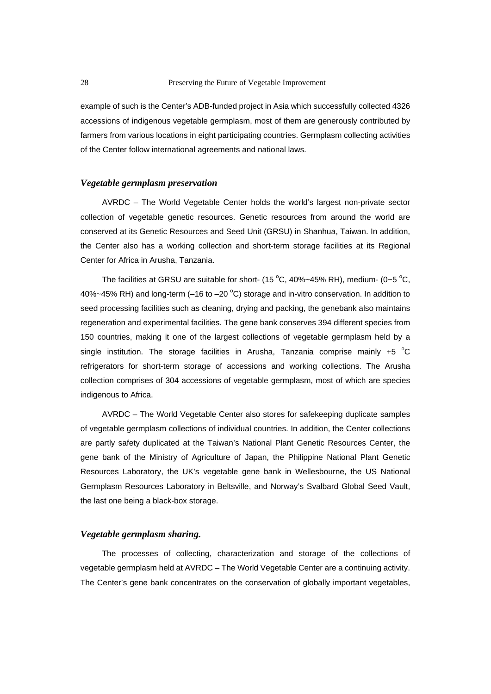example of such is the Center's ADB-funded project in Asia which successfully collected 4326 accessions of indigenous vegetable germplasm, most of them are generously contributed by farmers from various locations in eight participating countries. Germplasm collecting activities of the Center follow international agreements and national laws.

#### *Vegetable germplasm preservation*

AVRDC – The World Vegetable Center holds the world's largest non-private sector collection of vegetable genetic resources. Genetic resources from around the world are conserved at its Genetic Resources and Seed Unit (GRSU) in Shanhua, Taiwan. In addition, the Center also has a working collection and short-term storage facilities at its Regional Center for Africa in Arusha, Tanzania.

The facilities at GRSU are suitable for short- (15  $^{\circ}$ C, 40%~45% RH), medium- (0~5  $^{\circ}$ C, 40%~45% RH) and long-term (-16 to -20  $^{\circ}$ C) storage and in-vitro conservation. In addition to seed processing facilities such as cleaning, drying and packing, the genebank also maintains regeneration and experimental facilities. The gene bank conserves 394 different species from 150 countries, making it one of the largest collections of vegetable germplasm held by a single institution. The storage facilities in Arusha, Tanzania comprise mainly  $+5$  °C refrigerators for short-term storage of accessions and working collections. The Arusha collection comprises of 304 accessions of vegetable germplasm, most of which are species indigenous to Africa.

AVRDC – The World Vegetable Center also stores for safekeeping duplicate samples of vegetable germplasm collections of individual countries. In addition, the Center collections are partly safety duplicated at the Taiwan's National Plant Genetic Resources Center, the gene bank of the Ministry of Agriculture of Japan, the Philippine National Plant Genetic Resources Laboratory, the UK's vegetable gene bank in Wellesbourne, the US National Germplasm Resources Laboratory in Beltsville, and Norway's Svalbard Global Seed Vault, the last one being a black-box storage.

#### *Vegetable germplasm sharing.*

The processes of collecting, characterization and storage of the collections of vegetable germplasm held at AVRDC – The World Vegetable Center are a continuing activity. The Center's gene bank concentrates on the conservation of globally important vegetables,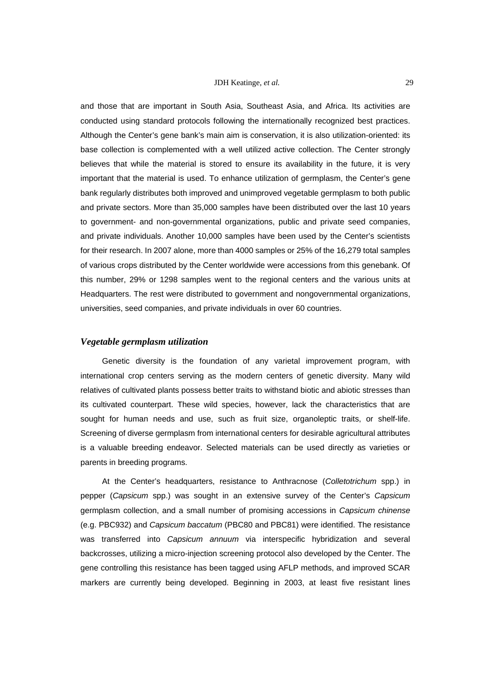and those that are important in South Asia, Southeast Asia, and Africa. Its activities are conducted using standard protocols following the internationally recognized best practices. Although the Center's gene bank's main aim is conservation, it is also utilization-oriented: its base collection is complemented with a well utilized active collection. The Center strongly believes that while the material is stored to ensure its availability in the future, it is very important that the material is used. To enhance utilization of germplasm, the Center's gene bank regularly distributes both improved and unimproved vegetable germplasm to both public and private sectors. More than 35,000 samples have been distributed over the last 10 years to government- and non-governmental organizations, public and private seed companies, and private individuals. Another 10,000 samples have been used by the Center's scientists for their research. In 2007 alone, more than 4000 samples or 25% of the 16,279 total samples of various crops distributed by the Center worldwide were accessions from this genebank. Of this number, 29% or 1298 samples went to the regional centers and the various units at Headquarters. The rest were distributed to government and nongovernmental organizations, universities, seed companies, and private individuals in over 60 countries.

# *Vegetable germplasm utilization*

Genetic diversity is the foundation of any varietal improvement program, with international crop centers serving as the modern centers of genetic diversity. Many wild relatives of cultivated plants possess better traits to withstand biotic and abiotic stresses than its cultivated counterpart. These wild species, however, lack the characteristics that are sought for human needs and use, such as fruit size, organoleptic traits, or shelf-life. Screening of diverse germplasm from international centers for desirable agricultural attributes is a valuable breeding endeavor. Selected materials can be used directly as varieties or parents in breeding programs.

At the Center's headquarters, resistance to Anthracnose (*Colletotrichum* spp.) in pepper (*Capsicum* spp.) was sought in an extensive survey of the Center's *Capsicum* germplasm collection, and a small number of promising accessions in *Capsicum chinense* (e.g. PBC932) and *Capsicum baccatum* (PBC80 and PBC81) were identified. The resistance was transferred into *Capsicum annuum* via interspecific hybridization and several backcrosses, utilizing a micro-injection screening protocol also developed by the Center. The gene controlling this resistance has been tagged using AFLP methods, and improved SCAR markers are currently being developed. Beginning in 2003, at least five resistant lines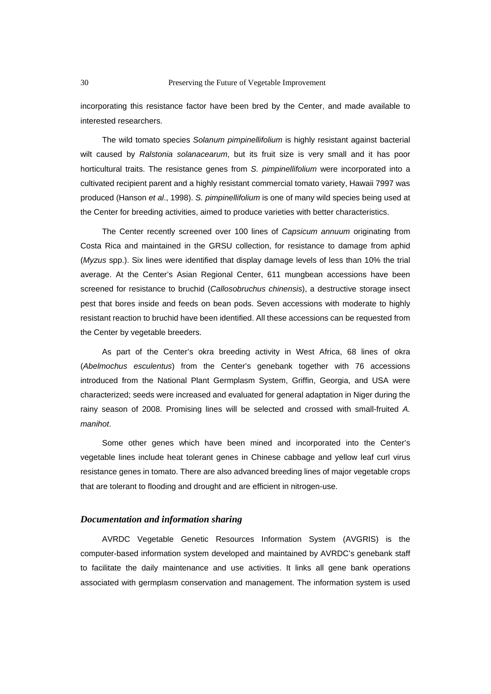incorporating this resistance factor have been bred by the Center, and made available to interested researchers.

The wild tomato species *Solanum pimpinellifolium* is highly resistant against bacterial wilt caused by *Ralstonia solanacearum*, but its fruit size is very small and it has poor horticultural traits. The resistance genes from *S. pimpinellifolium* were incorporated into a cultivated recipient parent and a highly resistant commercial tomato variety, Hawaii 7997 was produced (Hanson *et al*., 1998). *S. pimpinellifolium* is one of many wild species being used at the Center for breeding activities, aimed to produce varieties with better characteristics.

The Center recently screened over 100 lines of *Capsicum annuum* originating from Costa Rica and maintained in the GRSU collection, for resistance to damage from aphid (*Myzus* spp.). Six lines were identified that display damage levels of less than 10% the trial average. At the Center's Asian Regional Center, 611 mungbean accessions have been screened for resistance to bruchid (*Callosobruchus chinensis*), a destructive storage insect pest that bores inside and feeds on bean pods. Seven accessions with moderate to highly resistant reaction to bruchid have been identified. All these accessions can be requested from the Center by vegetable breeders.

As part of the Center's okra breeding activity in West Africa, 68 lines of okra (*Abelmochus esculentus*) from the Center's genebank together with 76 accessions introduced from the National Plant Germplasm System, Griffin, Georgia, and USA were characterized; seeds were increased and evaluated for general adaptation in Niger during the rainy season of 2008. Promising lines will be selected and crossed with small-fruited *A. manihot*.

Some other genes which have been mined and incorporated into the Center's vegetable lines include heat tolerant genes in Chinese cabbage and yellow leaf curl virus resistance genes in tomato. There are also advanced breeding lines of major vegetable crops that are tolerant to flooding and drought and are efficient in nitrogen-use.

#### *Documentation and information sharing*

AVRDC Vegetable Genetic Resources Information System (AVGRIS) is the computer-based information system developed and maintained by AVRDC's genebank staff to facilitate the daily maintenance and use activities. It links all gene bank operations associated with germplasm conservation and management. The information system is used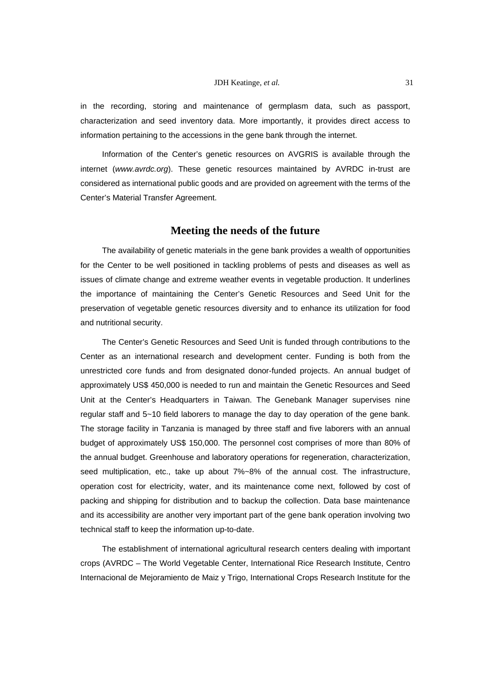in the recording, storing and maintenance of germplasm data, such as passport, characterization and seed inventory data. More importantly, it provides direct access to information pertaining to the accessions in the gene bank through the internet.

Information of the Center's genetic resources on AVGRIS is available through the internet (*www.avrdc.org*). These genetic resources maintained by AVRDC in-trust are considered as international public goods and are provided on agreement with the terms of the Center's Material Transfer Agreement.

# **Meeting the needs of the future**

The availability of genetic materials in the gene bank provides a wealth of opportunities for the Center to be well positioned in tackling problems of pests and diseases as well as issues of climate change and extreme weather events in vegetable production. It underlines the importance of maintaining the Center's Genetic Resources and Seed Unit for the preservation of vegetable genetic resources diversity and to enhance its utilization for food and nutritional security.

The Center's Genetic Resources and Seed Unit is funded through contributions to the Center as an international research and development center. Funding is both from the unrestricted core funds and from designated donor-funded projects. An annual budget of approximately US\$ 450,000 is needed to run and maintain the Genetic Resources and Seed Unit at the Center's Headquarters in Taiwan. The Genebank Manager supervises nine regular staff and 5~10 field laborers to manage the day to day operation of the gene bank. The storage facility in Tanzania is managed by three staff and five laborers with an annual budget of approximately US\$ 150,000. The personnel cost comprises of more than 80% of the annual budget. Greenhouse and laboratory operations for regeneration, characterization, seed multiplication, etc., take up about 7%~8% of the annual cost. The infrastructure, operation cost for electricity, water, and its maintenance come next, followed by cost of packing and shipping for distribution and to backup the collection. Data base maintenance and its accessibility are another very important part of the gene bank operation involving two technical staff to keep the information up-to-date.

The establishment of international agricultural research centers dealing with important crops (AVRDC – The World Vegetable Center, International Rice Research Institute, Centro Internacional de Mejoramiento de Maiz y Trigo, International Crops Research Institute for the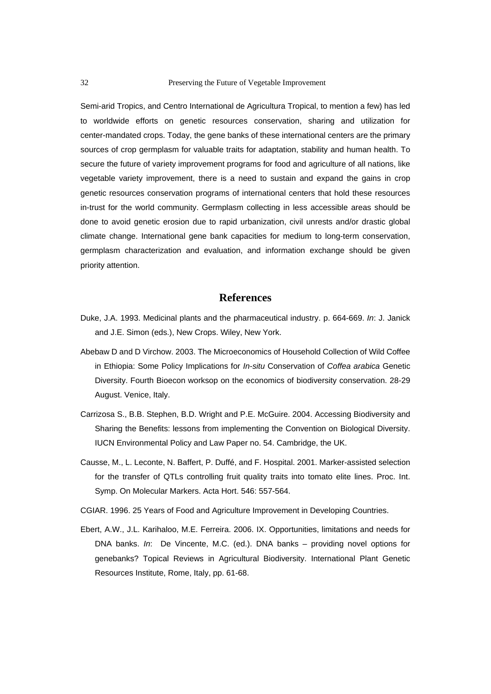#### 32 Preserving the Future of Vegetable Improvement

Semi-arid Tropics, and Centro International de Agricultura Tropical, to mention a few) has led to worldwide efforts on genetic resources conservation, sharing and utilization for center-mandated crops. Today, the gene banks of these international centers are the primary sources of crop germplasm for valuable traits for adaptation, stability and human health. To secure the future of variety improvement programs for food and agriculture of all nations, like vegetable variety improvement, there is a need to sustain and expand the gains in crop genetic resources conservation programs of international centers that hold these resources in-trust for the world community. Germplasm collecting in less accessible areas should be done to avoid genetic erosion due to rapid urbanization, civil unrests and/or drastic global climate change. International gene bank capacities for medium to long-term conservation, germplasm characterization and evaluation, and information exchange should be given priority attention.

# **References**

- Duke, J.A. 1993. Medicinal plants and the pharmaceutical industry. p. 664-669. *In*: J. Janick and J.E. Simon (eds.), New Crops. Wiley, New York.
- Abebaw D and D Virchow. 2003. The Microeconomics of Household Collection of Wild Coffee in Ethiopia: Some Policy Implications for *In-situ* Conservation of *Coffea arabica* Genetic Diversity. Fourth Bioecon worksop on the economics of biodiversity conservation. 28-29 August. Venice, Italy.
- Carrizosa S., B.B. Stephen, B.D. Wright and P.E. McGuire. 2004. Accessing Biodiversity and Sharing the Benefits: lessons from implementing the Convention on Biological Diversity. IUCN Environmental Policy and Law Paper no. 54. Cambridge, the UK.
- Causse, M., L. Leconte, N. Baffert, P. Duffé, and F. Hospital. 2001. Marker-assisted selection for the transfer of QTLs controlling fruit quality traits into tomato elite lines. Proc. Int. Symp. On Molecular Markers. Acta Hort. 546: 557-564.
- CGIAR. 1996. 25 Years of Food and Agriculture Improvement in Developing Countries.
- Ebert, A.W., J.L. Karihaloo, M.E. Ferreira. 2006. IX. Opportunities, limitations and needs for DNA banks. *In*: De Vincente, M.C. (ed.). DNA banks – providing novel options for genebanks? Topical Reviews in Agricultural Biodiversity. International Plant Genetic Resources Institute, Rome, Italy, pp. 61-68.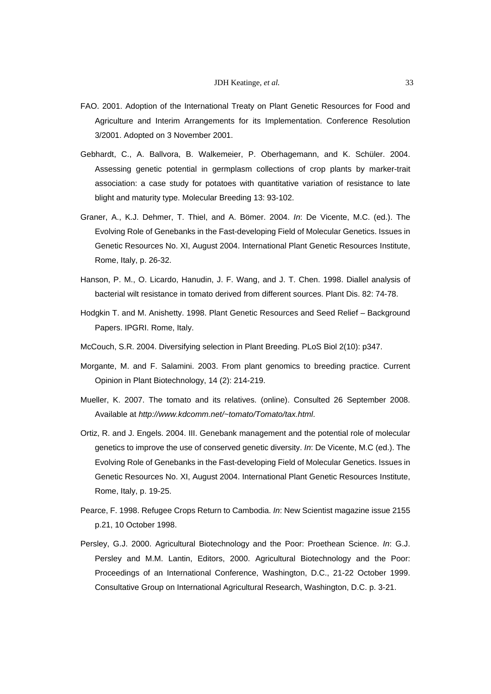- FAO. 2001. Adoption of the International Treaty on Plant Genetic Resources for Food and Agriculture and Interim Arrangements for its Implementation. Conference Resolution 3/2001. Adopted on 3 November 2001.
- Gebhardt, C., A. Ballvora, B. Walkemeier, P. Oberhagemann, and K. Schüler. 2004. Assessing genetic potential in germplasm collections of crop plants by marker-trait association: a case study for potatoes with quantitative variation of resistance to late blight and maturity type. Molecular Breeding 13: 93-102.
- Graner, A., K.J. Dehmer, T. Thiel, and A. Bömer. 2004. *In*: De Vicente, M.C. (ed.). The Evolving Role of Genebanks in the Fast-developing Field of Molecular Genetics. Issues in Genetic Resources No. XI, August 2004. International Plant Genetic Resources Institute, Rome, Italy, p. 26-32.
- Hanson, P. M., O. Licardo, Hanudin, J. F. Wang, and J. T. Chen. 1998. Diallel analysis of bacterial wilt resistance in tomato derived from different sources. Plant Dis. 82: 74-78.
- Hodgkin T. and M. Anishetty. 1998. Plant Genetic Resources and Seed Relief Background Papers. IPGRI. Rome, Italy.
- McCouch, S.R. 2004. Diversifying selection in Plant Breeding. PLoS Biol 2(10): p347.
- Morgante, M. and F. Salamini. 2003. From plant genomics to breeding practice. Current Opinion in Plant Biotechnology, 14 (2): 214-219.
- Mueller, K. 2007. The tomato and its relatives. (online). Consulted 26 September 2008. Available at *http://www.kdcomm.net/~tomato/Tomato/tax.html*.
- Ortiz, R. and J. Engels. 2004. III. Genebank management and the potential role of molecular genetics to improve the use of conserved genetic diversity. *In*: De Vicente, M.C (ed.). The Evolving Role of Genebanks in the Fast-developing Field of Molecular Genetics. Issues in Genetic Resources No. XI, August 2004. International Plant Genetic Resources Institute, Rome, Italy, p. 19-25.
- Pearce, F. 1998. Refugee Crops Return to Cambodia. *In*: New Scientist magazine issue 2155 p.21, 10 October 1998.
- Persley, G.J. 2000. Agricultural Biotechnology and the Poor: Proethean Science. *In*: G.J. Persley and M.M. Lantin, Editors, 2000. Agricultural Biotechnology and the Poor: Proceedings of an International Conference, Washington, D.C., 21-22 October 1999. Consultative Group on International Agricultural Research, Washington, D.C. p. 3-21.